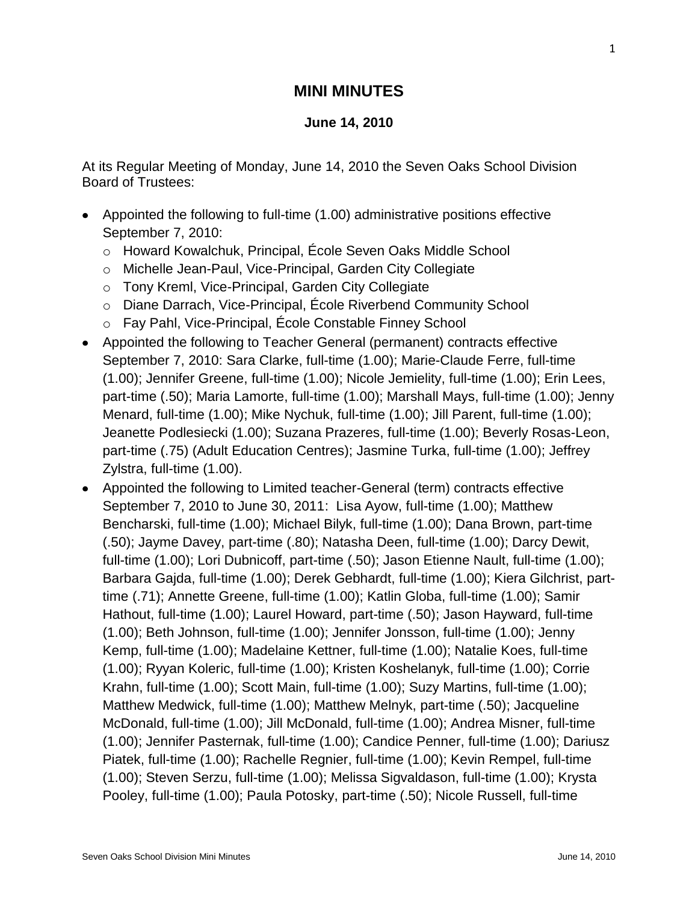## **MINI MINUTES**

## **June 14, 2010**

At its Regular Meeting of Monday, June 14, 2010 the Seven Oaks School Division Board of Trustees:

- Appointed the following to full-time (1.00) administrative positions effective September 7, 2010:
	- o Howard Kowalchuk, Principal, École Seven Oaks Middle School
	- o Michelle Jean-Paul, Vice-Principal, Garden City Collegiate
	- o Tony Kreml, Vice-Principal, Garden City Collegiate
	- o Diane Darrach, Vice-Principal, École Riverbend Community School
	- o Fay Pahl, Vice-Principal, École Constable Finney School
- Appointed the following to Teacher General (permanent) contracts effective September 7, 2010: Sara Clarke, full-time (1.00); Marie-Claude Ferre, full-time (1.00); Jennifer Greene, full-time (1.00); Nicole Jemielity, full-time (1.00); Erin Lees, part-time (.50); Maria Lamorte, full-time (1.00); Marshall Mays, full-time (1.00); Jenny Menard, full-time (1.00); Mike Nychuk, full-time (1.00); Jill Parent, full-time (1.00); Jeanette Podlesiecki (1.00); Suzana Prazeres, full-time (1.00); Beverly Rosas-Leon, part-time (.75) (Adult Education Centres); Jasmine Turka, full-time (1.00); Jeffrey Zylstra, full-time (1.00).
- Appointed the following to Limited teacher-General (term) contracts effective September 7, 2010 to June 30, 2011: Lisa Ayow, full-time (1.00); Matthew Bencharski, full-time (1.00); Michael Bilyk, full-time (1.00); Dana Brown, part-time (.50); Jayme Davey, part-time (.80); Natasha Deen, full-time (1.00); Darcy Dewit, full-time (1.00); Lori Dubnicoff, part-time (.50); Jason Etienne Nault, full-time (1.00); Barbara Gajda, full-time (1.00); Derek Gebhardt, full-time (1.00); Kiera Gilchrist, parttime (.71); Annette Greene, full-time (1.00); Katlin Globa, full-time (1.00); Samir Hathout, full-time (1.00); Laurel Howard, part-time (.50); Jason Hayward, full-time (1.00); Beth Johnson, full-time (1.00); Jennifer Jonsson, full-time (1.00); Jenny Kemp, full-time (1.00); Madelaine Kettner, full-time (1.00); Natalie Koes, full-time (1.00); Ryyan Koleric, full-time (1.00); Kristen Koshelanyk, full-time (1.00); Corrie Krahn, full-time (1.00); Scott Main, full-time (1.00); Suzy Martins, full-time (1.00); Matthew Medwick, full-time (1.00); Matthew Melnyk, part-time (.50); Jacqueline McDonald, full-time (1.00); Jill McDonald, full-time (1.00); Andrea Misner, full-time (1.00); Jennifer Pasternak, full-time (1.00); Candice Penner, full-time (1.00); Dariusz Piatek, full-time (1.00); Rachelle Regnier, full-time (1.00); Kevin Rempel, full-time (1.00); Steven Serzu, full-time (1.00); Melissa Sigvaldason, full-time (1.00); Krysta Pooley, full-time (1.00); Paula Potosky, part-time (.50); Nicole Russell, full-time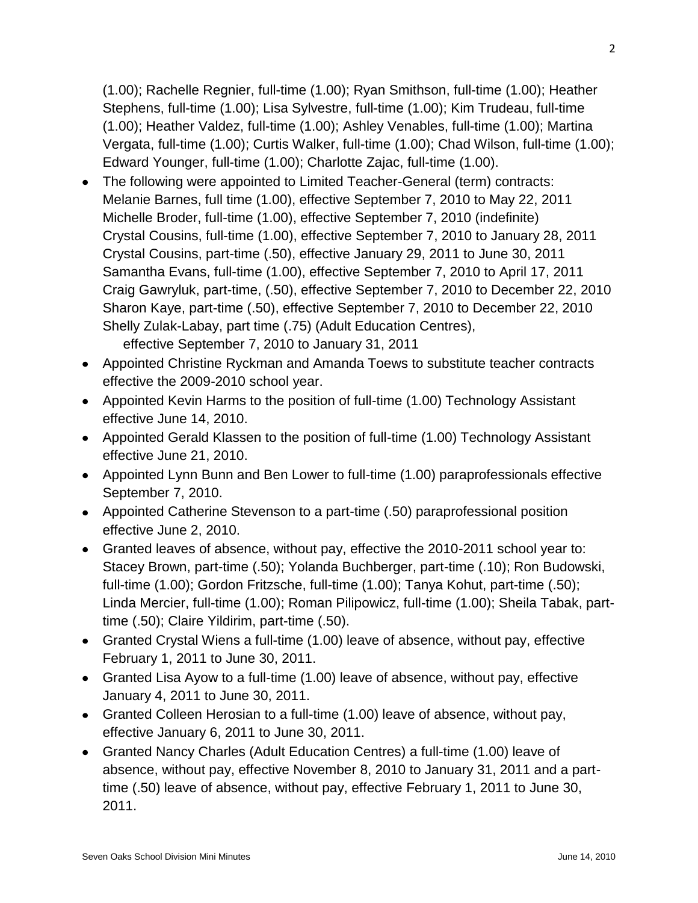(1.00); Rachelle Regnier, full-time (1.00); Ryan Smithson, full-time (1.00); Heather Stephens, full-time (1.00); Lisa Sylvestre, full-time (1.00); Kim Trudeau, full-time (1.00); Heather Valdez, full-time (1.00); Ashley Venables, full-time (1.00); Martina Vergata, full-time (1.00); Curtis Walker, full-time (1.00); Chad Wilson, full-time (1.00); Edward Younger, full-time (1.00); Charlotte Zajac, full-time (1.00).

- The following were appointed to Limited Teacher-General (term) contracts: Melanie Barnes, full time (1.00), effective September 7, 2010 to May 22, 2011 Michelle Broder, full-time (1.00), effective September 7, 2010 (indefinite) Crystal Cousins, full-time (1.00), effective September 7, 2010 to January 28, 2011 Crystal Cousins, part-time (.50), effective January 29, 2011 to June 30, 2011 Samantha Evans, full-time (1.00), effective September 7, 2010 to April 17, 2011 Craig Gawryluk, part-time, (.50), effective September 7, 2010 to December 22, 2010 Sharon Kaye, part-time (.50), effective September 7, 2010 to December 22, 2010 Shelly Zulak-Labay, part time (.75) (Adult Education Centres), effective September 7, 2010 to January 31, 2011
- Appointed Christine Ryckman and Amanda Toews to substitute teacher contracts effective the 2009-2010 school year.
- Appointed Kevin Harms to the position of full-time (1.00) Technology Assistant effective June 14, 2010.
- Appointed Gerald Klassen to the position of full-time (1.00) Technology Assistant effective June 21, 2010.
- Appointed Lynn Bunn and Ben Lower to full-time (1.00) paraprofessionals effective September 7, 2010.
- Appointed Catherine Stevenson to a part-time (.50) paraprofessional position effective June 2, 2010.
- Granted leaves of absence, without pay, effective the 2010-2011 school year to: Stacey Brown, part-time (.50); Yolanda Buchberger, part-time (.10); Ron Budowski, full-time (1.00); Gordon Fritzsche, full-time (1.00); Tanya Kohut, part-time (.50); Linda Mercier, full-time (1.00); Roman Pilipowicz, full-time (1.00); Sheila Tabak, parttime (.50); Claire Yildirim, part-time (.50).
- Granted Crystal Wiens a full-time (1.00) leave of absence, without pay, effective February 1, 2011 to June 30, 2011.
- Granted Lisa Ayow to a full-time (1.00) leave of absence, without pay, effective January 4, 2011 to June 30, 2011.
- Granted Colleen Herosian to a full-time (1.00) leave of absence, without pay, effective January 6, 2011 to June 30, 2011.
- Granted Nancy Charles (Adult Education Centres) a full-time (1.00) leave of absence, without pay, effective November 8, 2010 to January 31, 2011 and a parttime (.50) leave of absence, without pay, effective February 1, 2011 to June 30, 2011.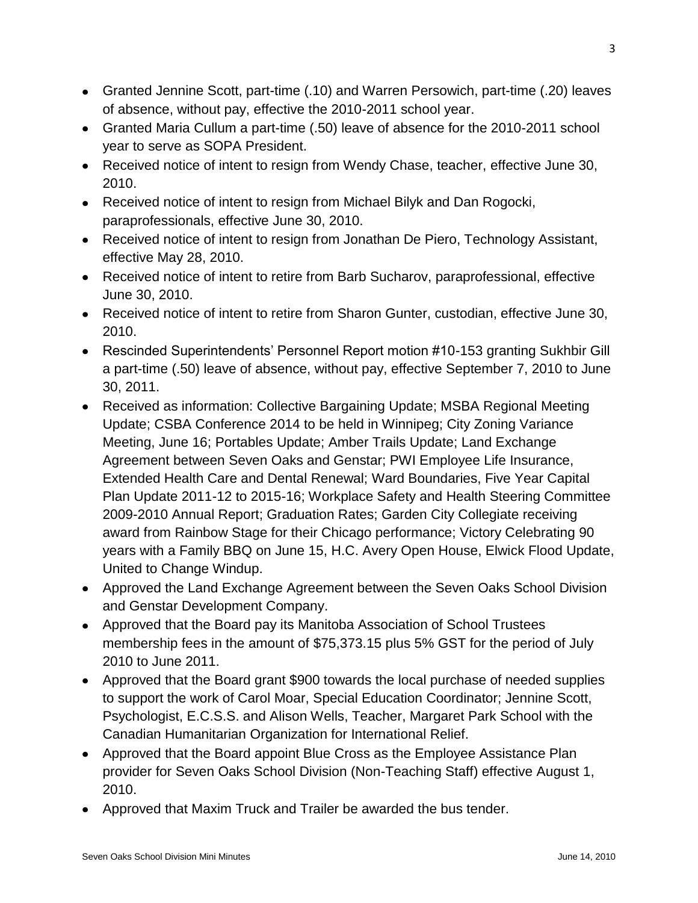- Granted Jennine Scott, part-time (.10) and Warren Persowich, part-time (.20) leaves of absence, without pay, effective the 2010-2011 school year.
- Granted Maria Cullum a part-time (.50) leave of absence for the 2010-2011 school year to serve as SOPA President.
- Received notice of intent to resign from Wendy Chase, teacher, effective June 30, 2010.
- Received notice of intent to resign from Michael Bilyk and Dan Rogocki, paraprofessionals, effective June 30, 2010.
- Received notice of intent to resign from Jonathan De Piero, Technology Assistant, effective May 28, 2010.
- Received notice of intent to retire from Barb Sucharov, paraprofessional, effective June 30, 2010.
- Received notice of intent to retire from Sharon Gunter, custodian, effective June 30, 2010.
- Rescinded Superintendents' Personnel Report motion #10-153 granting Sukhbir Gill a part-time (.50) leave of absence, without pay, effective September 7, 2010 to June 30, 2011.
- Received as information: Collective Bargaining Update; MSBA Regional Meeting Update; CSBA Conference 2014 to be held in Winnipeg; City Zoning Variance Meeting, June 16; Portables Update; Amber Trails Update; Land Exchange Agreement between Seven Oaks and Genstar; PWI Employee Life Insurance, Extended Health Care and Dental Renewal; Ward Boundaries, Five Year Capital Plan Update 2011-12 to 2015-16; Workplace Safety and Health Steering Committee 2009-2010 Annual Report; Graduation Rates; Garden City Collegiate receiving award from Rainbow Stage for their Chicago performance; Victory Celebrating 90 years with a Family BBQ on June 15, H.C. Avery Open House, Elwick Flood Update, United to Change Windup.
- Approved the Land Exchange Agreement between the Seven Oaks School Division and Genstar Development Company.
- Approved that the Board pay its Manitoba Association of School Trustees membership fees in the amount of \$75,373.15 plus 5% GST for the period of July 2010 to June 2011.
- Approved that the Board grant \$900 towards the local purchase of needed supplies to support the work of Carol Moar, Special Education Coordinator; Jennine Scott, Psychologist, E.C.S.S. and Alison Wells, Teacher, Margaret Park School with the Canadian Humanitarian Organization for International Relief.
- Approved that the Board appoint Blue Cross as the Employee Assistance Plan provider for Seven Oaks School Division (Non-Teaching Staff) effective August 1, 2010.
- Approved that Maxim Truck and Trailer be awarded the bus tender.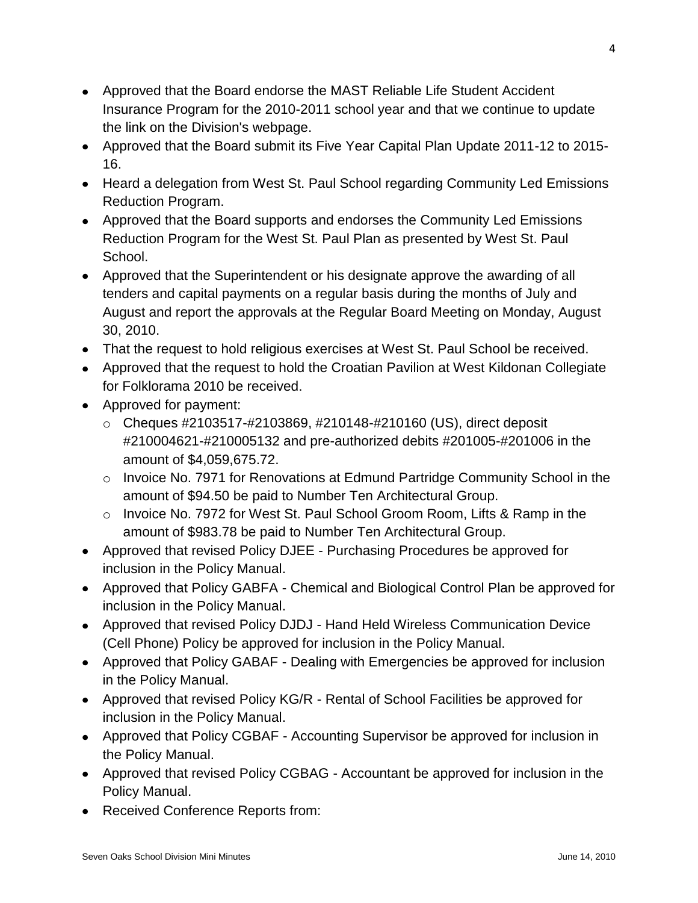- Approved that the Board endorse the MAST Reliable Life Student Accident Insurance Program for the 2010-2011 school year and that we continue to update the link on the Division's webpage.
- Approved that the Board submit its Five Year Capital Plan Update 2011-12 to 2015- 16.
- Heard a delegation from West St. Paul School regarding Community Led Emissions Reduction Program.
- Approved that the Board supports and endorses the Community Led Emissions Reduction Program for the West St. Paul Plan as presented by West St. Paul School.
- Approved that the Superintendent or his designate approve the awarding of all tenders and capital payments on a regular basis during the months of July and August and report the approvals at the Regular Board Meeting on Monday, August 30, 2010.
- That the request to hold religious exercises at West St. Paul School be received.
- Approved that the request to hold the Croatian Pavilion at West Kildonan Collegiate for Folklorama 2010 be received.
- Approved for payment:
	- o Cheques #2103517-#2103869, #210148-#210160 (US), direct deposit #210004621-#210005132 and pre-authorized debits #201005-#201006 in the amount of \$4,059,675.72.
	- o Invoice No. 7971 for Renovations at Edmund Partridge Community School in the amount of \$94.50 be paid to Number Ten Architectural Group.
	- $\circ$  Invoice No. 7972 for West St. Paul School Groom Room, Lifts & Ramp in the amount of \$983.78 be paid to Number Ten Architectural Group.
- Approved that revised Policy DJEE Purchasing Procedures be approved for inclusion in the Policy Manual.
- Approved that Policy GABFA Chemical and Biological Control Plan be approved for inclusion in the Policy Manual.
- Approved that revised Policy DJDJ Hand Held Wireless Communication Device (Cell Phone) Policy be approved for inclusion in the Policy Manual.
- Approved that Policy GABAF Dealing with Emergencies be approved for inclusion in the Policy Manual.
- Approved that revised Policy KG/R Rental of School Facilities be approved for inclusion in the Policy Manual.
- Approved that Policy CGBAF Accounting Supervisor be approved for inclusion in the Policy Manual.
- Approved that revised Policy CGBAG Accountant be approved for inclusion in the Policy Manual.
- Received Conference Reports from: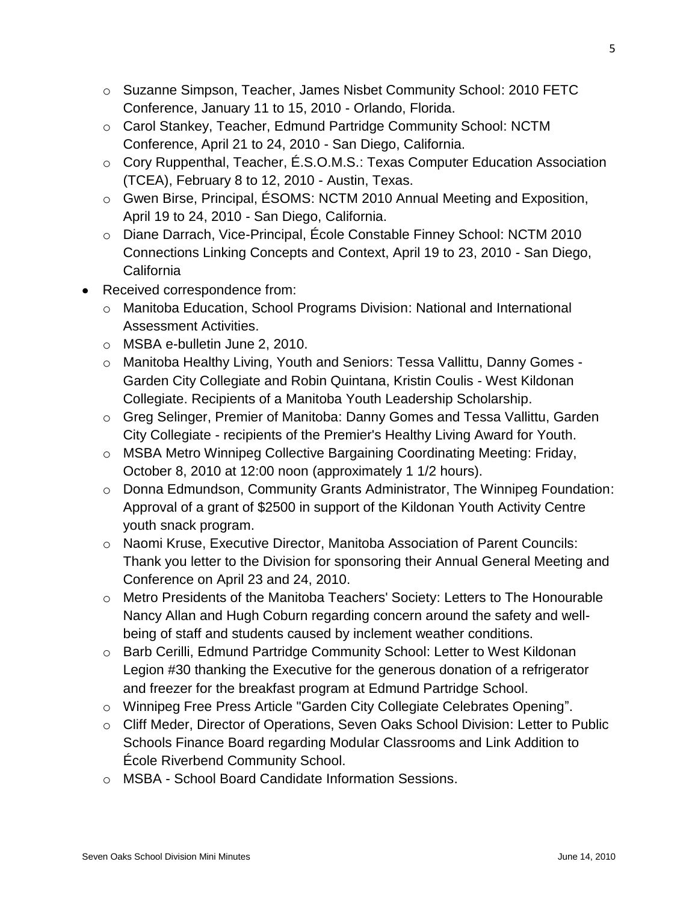- o Suzanne Simpson, Teacher, James Nisbet Community School: 2010 FETC Conference, January 11 to 15, 2010 - Orlando, Florida.
- o Carol Stankey, Teacher, Edmund Partridge Community School: NCTM Conference, April 21 to 24, 2010 - San Diego, California.
- o Cory Ruppenthal, Teacher, É.S.O.M.S.: Texas Computer Education Association (TCEA), February 8 to 12, 2010 - Austin, Texas.
- o Gwen Birse, Principal, ÉSOMS: NCTM 2010 Annual Meeting and Exposition, April 19 to 24, 2010 - San Diego, California.
- o Diane Darrach, Vice-Principal, École Constable Finney School: NCTM 2010 Connections Linking Concepts and Context, April 19 to 23, 2010 - San Diego, **California**
- Received correspondence from:
	- o Manitoba Education, School Programs Division: National and International Assessment Activities.
	- o MSBA e-bulletin June 2, 2010.
	- o Manitoba Healthy Living, Youth and Seniors: Tessa Vallittu, Danny Gomes Garden City Collegiate and Robin Quintana, Kristin Coulis - West Kildonan Collegiate. Recipients of a Manitoba Youth Leadership Scholarship.
	- o Greg Selinger, Premier of Manitoba: Danny Gomes and Tessa Vallittu, Garden City Collegiate - recipients of the Premier's Healthy Living Award for Youth.
	- o MSBA Metro Winnipeg Collective Bargaining Coordinating Meeting: Friday, October 8, 2010 at 12:00 noon (approximately 1 1/2 hours).
	- o Donna Edmundson, Community Grants Administrator, The Winnipeg Foundation: Approval of a grant of \$2500 in support of the Kildonan Youth Activity Centre youth snack program.
	- o Naomi Kruse, Executive Director, Manitoba Association of Parent Councils: Thank you letter to the Division for sponsoring their Annual General Meeting and Conference on April 23 and 24, 2010.
	- o Metro Presidents of the Manitoba Teachers' Society: Letters to The Honourable Nancy Allan and Hugh Coburn regarding concern around the safety and wellbeing of staff and students caused by inclement weather conditions.
	- o Barb Cerilli, Edmund Partridge Community School: Letter to West Kildonan Legion #30 thanking the Executive for the generous donation of a refrigerator and freezer for the breakfast program at Edmund Partridge School.
	- o Winnipeg Free Press Article "Garden City Collegiate Celebrates Opening".
	- o Cliff Meder, Director of Operations, Seven Oaks School Division: Letter to Public Schools Finance Board regarding Modular Classrooms and Link Addition to École Riverbend Community School.
	- o MSBA School Board Candidate Information Sessions.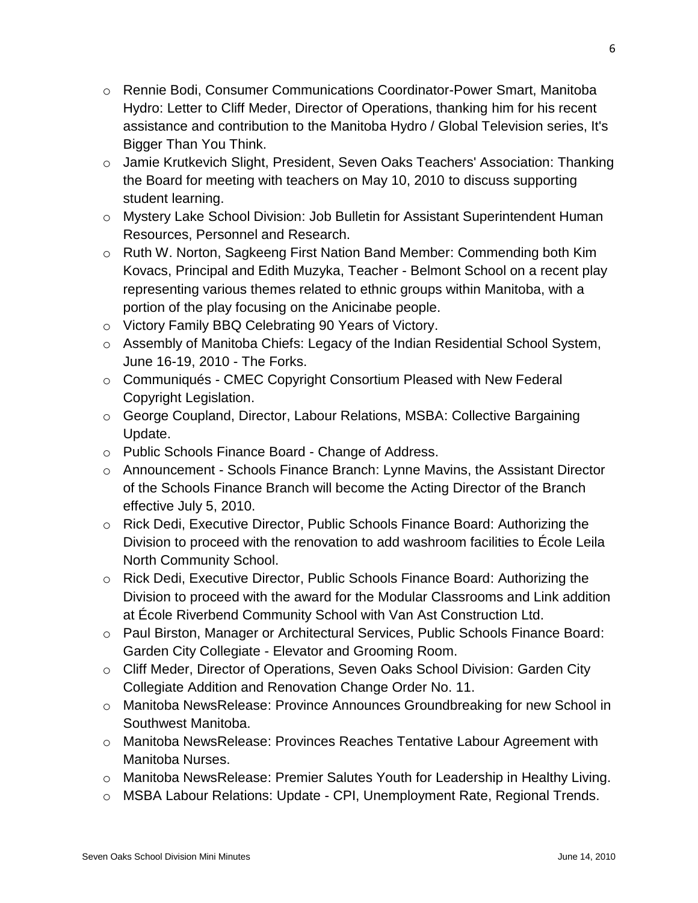- o Rennie Bodi, Consumer Communications Coordinator-Power Smart, Manitoba Hydro: Letter to Cliff Meder, Director of Operations, thanking him for his recent assistance and contribution to the Manitoba Hydro / Global Television series, It's Bigger Than You Think.
- o Jamie Krutkevich Slight, President, Seven Oaks Teachers' Association: Thanking the Board for meeting with teachers on May 10, 2010 to discuss supporting student learning.
- o Mystery Lake School Division: Job Bulletin for Assistant Superintendent Human Resources, Personnel and Research.
- o Ruth W. Norton, Sagkeeng First Nation Band Member: Commending both Kim Kovacs, Principal and Edith Muzyka, Teacher - Belmont School on a recent play representing various themes related to ethnic groups within Manitoba, with a portion of the play focusing on the Anicinabe people.
- o Victory Family BBQ Celebrating 90 Years of Victory.
- o Assembly of Manitoba Chiefs: Legacy of the Indian Residential School System, June 16-19, 2010 - The Forks.
- o Communiqués CMEC Copyright Consortium Pleased with New Federal Copyright Legislation.
- o George Coupland, Director, Labour Relations, MSBA: Collective Bargaining Update.
- o Public Schools Finance Board Change of Address.
- o Announcement Schools Finance Branch: Lynne Mavins, the Assistant Director of the Schools Finance Branch will become the Acting Director of the Branch effective July 5, 2010.
- o Rick Dedi, Executive Director, Public Schools Finance Board: Authorizing the Division to proceed with the renovation to add washroom facilities to École Leila North Community School.
- o Rick Dedi, Executive Director, Public Schools Finance Board: Authorizing the Division to proceed with the award for the Modular Classrooms and Link addition at École Riverbend Community School with Van Ast Construction Ltd.
- o Paul Birston, Manager or Architectural Services, Public Schools Finance Board: Garden City Collegiate - Elevator and Grooming Room.
- o Cliff Meder, Director of Operations, Seven Oaks School Division: Garden City Collegiate Addition and Renovation Change Order No. 11.
- o Manitoba NewsRelease: Province Announces Groundbreaking for new School in Southwest Manitoba.
- o Manitoba NewsRelease: Provinces Reaches Tentative Labour Agreement with Manitoba Nurses.
- o Manitoba NewsRelease: Premier Salutes Youth for Leadership in Healthy Living.
- o MSBA Labour Relations: Update CPI, Unemployment Rate, Regional Trends.